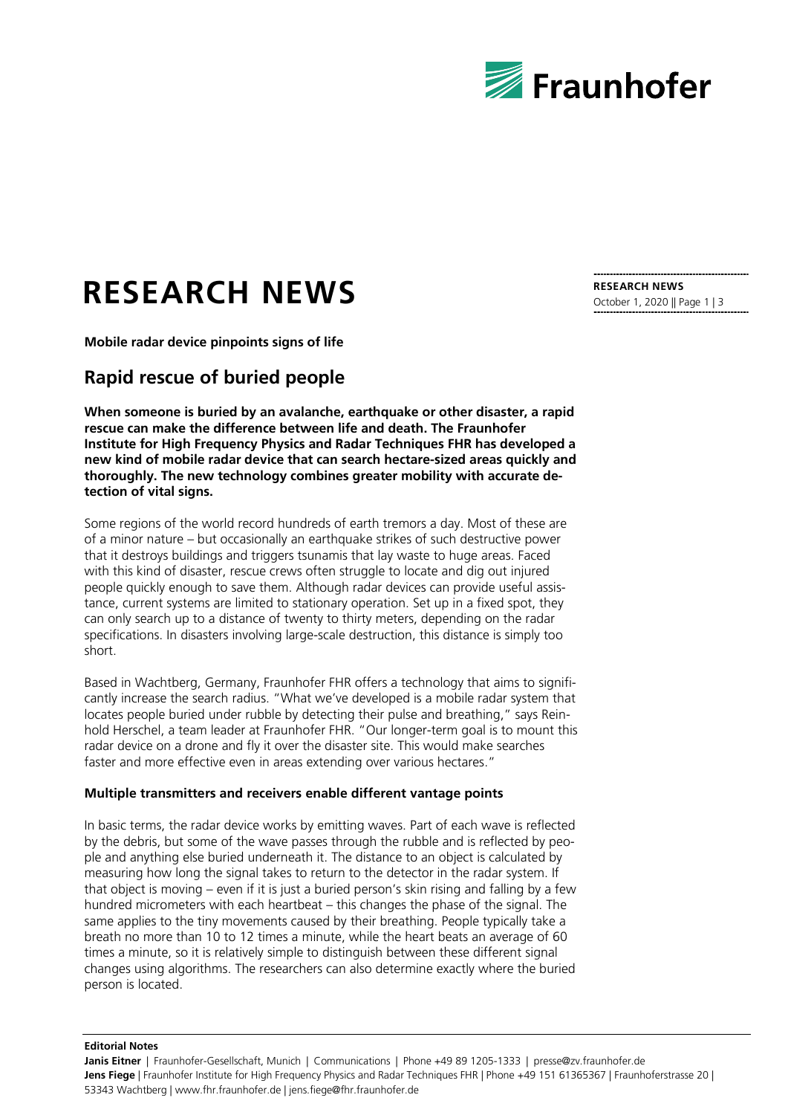

# **RESEARCH NEWS**

**Mobile radar device pinpoints signs of life**

# **Rapid rescue of buried people**

**When someone is buried by an avalanche, earthquake or other disaster, a rapid rescue can make the difference between life and death. The Fraunhofer Institute for High Frequency Physics and Radar Techniques FHR has developed a new kind of mobile radar device that can search hectare-sized areas quickly and thoroughly. The new technology combines greater mobility with accurate detection of vital signs.**

Some regions of the world record hundreds of earth tremors a day. Most of these are of a minor nature – but occasionally an earthquake strikes of such destructive power that it destroys buildings and triggers tsunamis that lay waste to huge areas. Faced with this kind of disaster, rescue crews often struggle to locate and dig out injured people quickly enough to save them. Although radar devices can provide useful assistance, current systems are limited to stationary operation. Set up in a fixed spot, they can only search up to a distance of twenty to thirty meters, depending on the radar specifications. In disasters involving large-scale destruction, this distance is simply too short.

Based in Wachtberg, Germany, Fraunhofer FHR offers a technology that aims to significantly increase the search radius. "What we've developed is a mobile radar system that locates people buried under rubble by detecting their pulse and breathing," says Reinhold Herschel, a team leader at Fraunhofer FHR. "Our longer-term goal is to mount this radar device on a drone and fly it over the disaster site. This would make searches faster and more effective even in areas extending over various hectares."

## **Multiple transmitters and receivers enable different vantage points**

In basic terms, the radar device works by emitting waves. Part of each wave is reflected by the debris, but some of the wave passes through the rubble and is reflected by people and anything else buried underneath it. The distance to an object is calculated by measuring how long the signal takes to return to the detector in the radar system. If that object is moving – even if it is just a buried person's skin rising and falling by a few hundred micrometers with each heartbeat – this changes the phase of the signal. The same applies to the tiny movements caused by their breathing. People typically take a breath no more than 10 to 12 times a minute, while the heart beats an average of 60 times a minute, so it is relatively simple to distinguish between these different signal changes using algorithms. The researchers can also determine exactly where the buried person is located.

**RESEARCH NEWS** October 1, 2020 || Page 1 | 3

#### **Editorial Notes**

**Janis Eitner** | Fraunhofer-Gesellschaft, Munich | Communications | Phone +49 89 1205-1333 | presse@zv.fraunhofer.de **Jens Fiege** | Fraunhofer Institute for High Frequency Physics and Radar Techniques FHR | Phone +49 151 61365367 | Fraunhoferstrasse 20 | 53343 Wachtberg | www.fhr.fraunhofer.de | jens.fiege@fhr.fraunhofer.de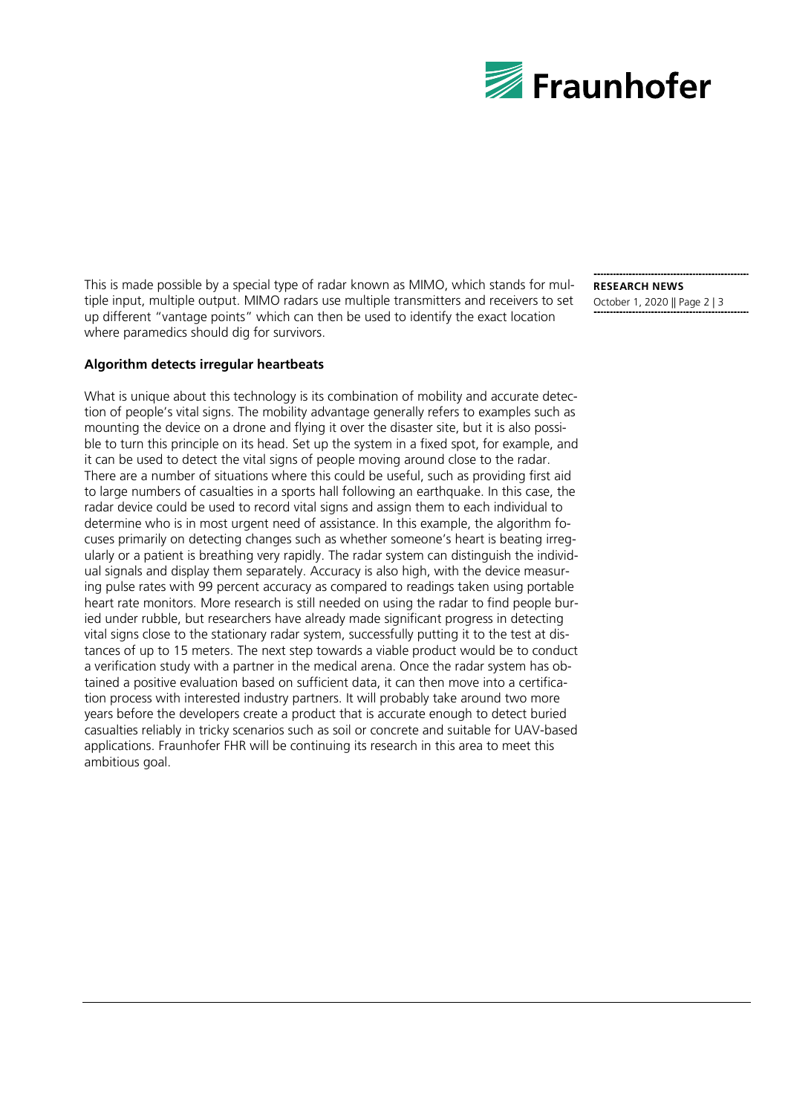

This is made possible by a special type of radar known as MIMO, which stands for multiple input, multiple output. MIMO radars use multiple transmitters and receivers to set up different "vantage points" which can then be used to identify the exact location where paramedics should dig for survivors.

## **RESEARCH NEWS** October 1, 2020 || Page 2 | 3

### **Algorithm detects irregular heartbeats**

What is unique about this technology is its combination of mobility and accurate detection of people's vital signs. The mobility advantage generally refers to examples such as mounting the device on a drone and flying it over the disaster site, but it is also possible to turn this principle on its head. Set up the system in a fixed spot, for example, and it can be used to detect the vital signs of people moving around close to the radar. There are a number of situations where this could be useful, such as providing first aid to large numbers of casualties in a sports hall following an earthquake. In this case, the radar device could be used to record vital signs and assign them to each individual to determine who is in most urgent need of assistance. In this example, the algorithm focuses primarily on detecting changes such as whether someone's heart is beating irregularly or a patient is breathing very rapidly. The radar system can distinguish the individual signals and display them separately. Accuracy is also high, with the device measuring pulse rates with 99 percent accuracy as compared to readings taken using portable heart rate monitors. More research is still needed on using the radar to find people buried under rubble, but researchers have already made significant progress in detecting vital signs close to the stationary radar system, successfully putting it to the test at distances of up to 15 meters. The next step towards a viable product would be to conduct a verification study with a partner in the medical arena. Once the radar system has obtained a positive evaluation based on sufficient data, it can then move into a certification process with interested industry partners. It will probably take around two more years before the developers create a product that is accurate enough to detect buried casualties reliably in tricky scenarios such as soil or concrete and suitable for UAV-based applications. Fraunhofer FHR will be continuing its research in this area to meet this ambitious goal.